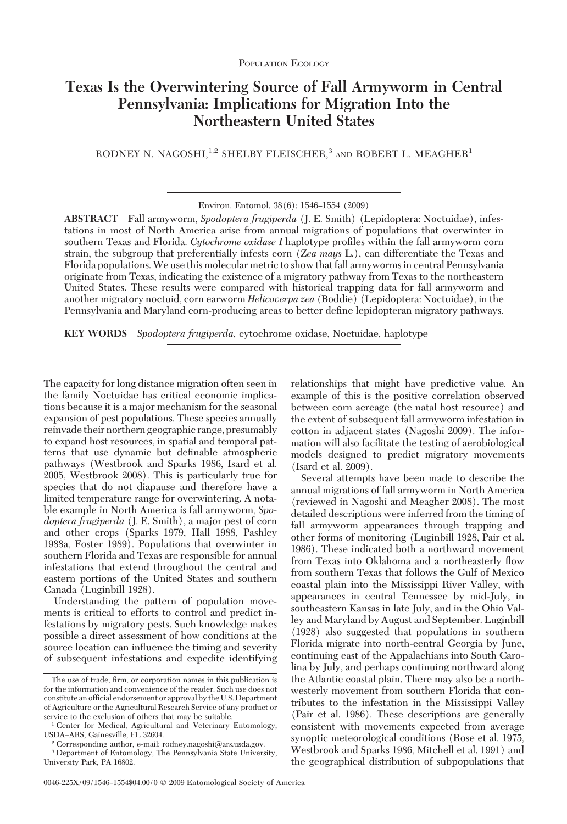# **Texas Is the Overwintering Source of Fall Armyworm in Central Pennsylvania: Implications for Migration Into the Northeastern United States**

RODNEY N. NAGOSHI,<sup>1,2</sup> SHELBY FLEISCHER,<sup>3</sup> AND ROBERT L. MEAGHER<sup>1</sup>

**ABSTRACT** Fall armyworm, *Spodoptera frugiperda* (J. E. Smith) (Lepidoptera: Noctuidae), infestations in most of North America arise from annual migrations of populations that overwinter in southern Texas and Florida. *Cytochrome oxidase I* haplotype profiles within the fall armyworm corn strain, the subgroup that preferentially infests corn (*Zea mays* L.), can differentiate the Texas and Florida populations.We use this molecular metric to show that fall armyworms in central Pennsylvania originate from Texas, indicating the existence of a migratory pathway from Texas to the northeastern United States. These results were compared with historical trapping data for fall armyworm and another migratory noctuid, corn earworm *Helicoverpa zea* (Boddie) (Lepidoptera: Noctuidae), in the Pennsylvania and Maryland corn-producing areas to better define lepidopteran migratory pathways.

**KEY WORDS** *Spodoptera frugiperda*, cytochrome oxidase, Noctuidae, haplotype

The capacity for long distance migration often seen in the family Noctuidae has critical economic implications because it is a major mechanism for the seasonal expansion of pest populations. These species annually reinvade their northern geographic range, presumably to expand host resources, in spatial and temporal patterns that use dynamic but definable atmospheric pathways (Westbrook and Sparks 1986, Isard et al. 2005, Westbrook 2008). This is particularly true for species that do not diapause and therefore have a limited temperature range for overwintering. A notable example in North America is fall armyworm, *Spodoptera frugiperda* (J. E. Smith), a major pest of corn and other crops (Sparks 1979, Hall 1988, Pashley 1988a, Foster 1989). Populations that overwinter in southern Florida and Texas are responsible for annual infestations that extend throughout the central and eastern portions of the United States and southern Canada (Luginbill 1928).

Understanding the pattern of population movements is critical to efforts to control and predict infestations by migratory pests. Such knowledge makes possible a direct assessment of how conditions at the source location can inßuence the timing and severity of subsequent infestations and expedite identifying relationships that might have predictive value. An example of this is the positive correlation observed between corn acreage (the natal host resource) and the extent of subsequent fall armyworm infestation in cotton in adjacent states (Nagoshi 2009). The information will also facilitate the testing of aerobiological models designed to predict migratory movements (Isard et al. 2009).

Several attempts have been made to describe the annual migrations of fall armyworm in North America (reviewed in Nagoshi and Meagher 2008). The most detailed descriptions were inferred from the timing of fall armyworm appearances through trapping and other forms of monitoring (Luginbill 1928, Pair et al. 1986). These indicated both a northward movement from Texas into Oklahoma and a northeasterly ßow from southern Texas that follows the Gulf of Mexico coastal plain into the Mississippi River Valley, with appearances in central Tennessee by mid-July, in southeastern Kansas in late July, and in the Ohio Valley and Maryland by August and September. Luginbill (1928) also suggested that populations in southern Florida migrate into north-central Georgia by June, continuing east of the Appalachians into South Carolina by July, and perhaps continuing northward along the Atlantic coastal plain. There may also be a northwesterly movement from southern Florida that contributes to the infestation in the Mississippi Valley (Pair et al. 1986). These descriptions are generally consistent with movements expected from average synoptic meteorological conditions (Rose et al. 1975, Westbrook and Sparks 1986, Mitchell et al. 1991) and the geographical distribution of subpopulations that

Environ. Entomol. 38(6): 1546-1554 (2009)

The use of trade, firm, or corporation names in this publication is for the information and convenience of the reader. Such use does not constitute an official endorsement or approval by the U.S. Department of Agriculture or the Agricultural Research Service of any product or service to the exclusion of others that may be suitable.

<sup>1</sup> Center for Medical, Agricultural and Veterinary Entomology, USDA-ARS, Gainesville, FL 32604.

<sup>2</sup> Corresponding author, e-mail: rodney.nagoshi@ars.usda.gov.

<sup>3</sup> Department of Entomology, The Pennsylvania State University, University Park, PA 16802.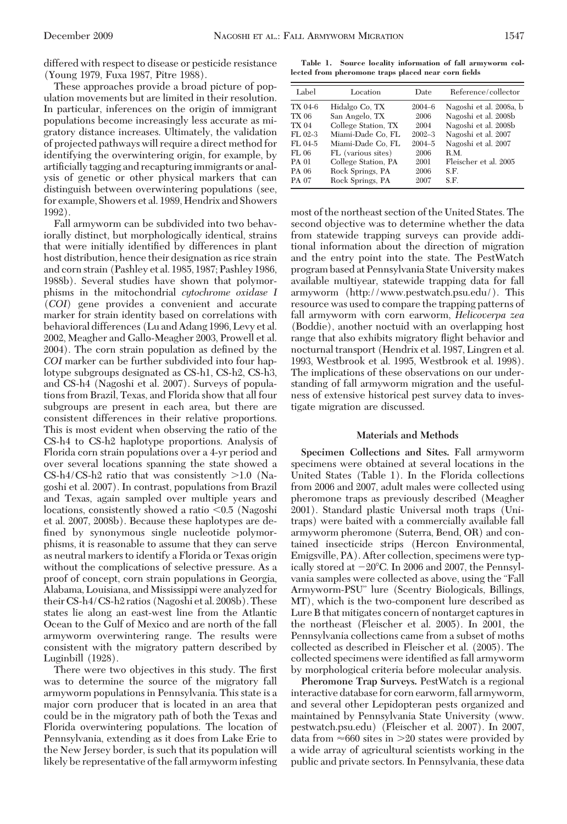differed with respect to disease or pesticide resistance (Young 1979, Fuxa 1987, Pitre 1988).

These approaches provide a broad picture of population movements but are limited in their resolution. In particular, inferences on the origin of immigrant populations become increasingly less accurate as migratory distance increases. Ultimately, the validation of projected pathways will require a direct method for identifying the overwintering origin, for example, by artificially tagging and recapturing immigrants or analysis of genetic or other physical markers that can distinguish between overwintering populations (see, for example, Showers et al. 1989, Hendrix and Showers 1992).

Fall armyworm can be subdivided into two behaviorally distinct, but morphologically identical, strains that were initially identified by differences in plant host distribution, hence their designation as rice strain and corn strain (Pashley et al. 1985, 1987; Pashley 1986, 1988b). Several studies have shown that polymorphisms in the mitochondrial *cytochrome oxidase I* (*COI*) gene provides a convenient and accurate marker for strain identity based on correlations with behavioral differences (Lu and Adang 1996, Levy et al. 2002, Meagher and Gallo-Meagher 2003, Prowell et al. 2004). The corn strain population as defined by the *COI* marker can be further subdivided into four haplotype subgroups designated as CS-h1, CS-h2, CS-h3, and CS-h4 (Nagoshi et al. 2007). Surveys of populations from Brazil, Texas, and Florida show that all four subgroups are present in each area, but there are consistent differences in their relative proportions. This is most evident when observing the ratio of the CS-h4 to CS-h2 haplotype proportions. Analysis of Florida corn strain populations over a 4-yr period and over several locations spanning the state showed a  $CS-h4/CS-h2$  ratio that was consistently  $>1.0$  (Nagoshi et al. 2007). In contrast, populations from Brazil and Texas, again sampled over multiple years and locations, consistently showed a ratio <0.5 (Nagoshi et al. 2007, 2008b). Because these haplotypes are defined by synonymous single nucleotide polymorphisms, it is reasonable to assume that they can serve as neutral markers to identify a Florida or Texas origin without the complications of selective pressure. As a proof of concept, corn strain populations in Georgia, Alabama, Louisiana, and Mississippi were analyzed for their CS-h4/CS-h2 ratios (Nagoshi et al. 2008b). These states lie along an east-west line from the Atlantic Ocean to the Gulf of Mexico and are north of the fall armyworm overwintering range. The results were consistent with the migratory pattern described by Luginbill (1928).

There were two objectives in this study. The first was to determine the source of the migratory fall armyworm populations in Pennsylvania. This state is a major corn producer that is located in an area that could be in the migratory path of both the Texas and Florida overwintering populations. The location of Pennsylvania, extending as it does from Lake Erie to the New Jersey border, is such that its population will likely be representative of the fall armyworm infesting

**Table 1. Source locality information of fall armyworm collected from pheromone traps placed near corn fields**

| Label        | Location            | Date       | Reference/collector     |
|--------------|---------------------|------------|-------------------------|
| TX 04-6      | Hidalgo Co, TX      | $2004 - 6$ | Nagoshi et al. 2008a, b |
| TX 06        | San Angelo, TX      | 2006       | Nagoshi et al. 2008b    |
| <b>TX 04</b> | College Station, TX | 2004       | Nagoshi et al. 2008b    |
| $FL 02-3$    | Miami-Dade Co. FL   | $2002 - 3$ | Nagoshi et al. 2007     |
| $FI.04-5$    | Miami-Dade Co. FL   | $2004 - 5$ | Nagoshi et al. 2007     |
| FL 06        | FL (various sites)  | 2006       | R.M.                    |
| PA 01        | College Station, PA | 2001       | Fleischer et al. 2005   |
| PA 06        | Rock Springs, PA    | 2006       | S.F.                    |
| PA 07        | Rock Springs, PA    | 2007       | S.F.                    |

most of the northeast section of the United States. The second objective was to determine whether the data from statewide trapping surveys can provide additional information about the direction of migration and the entry point into the state. The PestWatch program based at Pennsylvania State University makes available multiyear, statewide trapping data for fall armyworm (http://www.pestwatch.psu.edu/). This resource was used to compare the trapping patterns of fall armyworm with corn earworm, *Helicoverpa zea* (Boddie), another noctuid with an overlapping host range that also exhibits migratory flight behavior and nocturnal transport (Hendrix et al. 1987, Lingren et al. 1993, Westbrook et al. 1995, Westbrook et al. 1998). The implications of these observations on our understanding of fall armyworm migration and the usefulness of extensive historical pest survey data to investigate migration are discussed.

### **Materials and Methods**

**Specimen Collections and Sites.** Fall armyworm specimens were obtained at several locations in the United States (Table 1). In the Florida collections from 2006 and 2007, adult males were collected using pheromone traps as previously described (Meagher 2001). Standard plastic Universal moth traps (Unitraps) were baited with a commercially available fall armyworm pheromone (Suterra, Bend, OR) and contained insecticide strips (Hercon Environmental, Emigsville, PA). After collection, specimens were typically stored at  $-20^{\circ}$ C. In 2006 and 2007, the Pennsylvania samples were collected as above, using the "Fall Armyworm-PSU" lure (Scentry Biologicals, Billings, MT), which is the two-component lure described as Lure B that mitigates concern of nontarget captures in the northeast (Fleischer et al. 2005). In 2001, the Pennsylvania collections came from a subset of moths collected as described in Fleischer et al. (2005). The collected specimens were identified as fall armyworm by morphological criteria before molecular analysis.

**Pheromone Trap Surveys.** PestWatch is a regional interactive database for corn earworm, fall armyworm, and several other Lepidopteran pests organized and maintained by Pennsylvania State University (www. pestwatch.psu.edu) (Fleischer et al. 2007). In 2007, data from  $\approx 660$  sites in  $> 20$  states were provided by a wide array of agricultural scientists working in the public and private sectors. In Pennsylvania, these data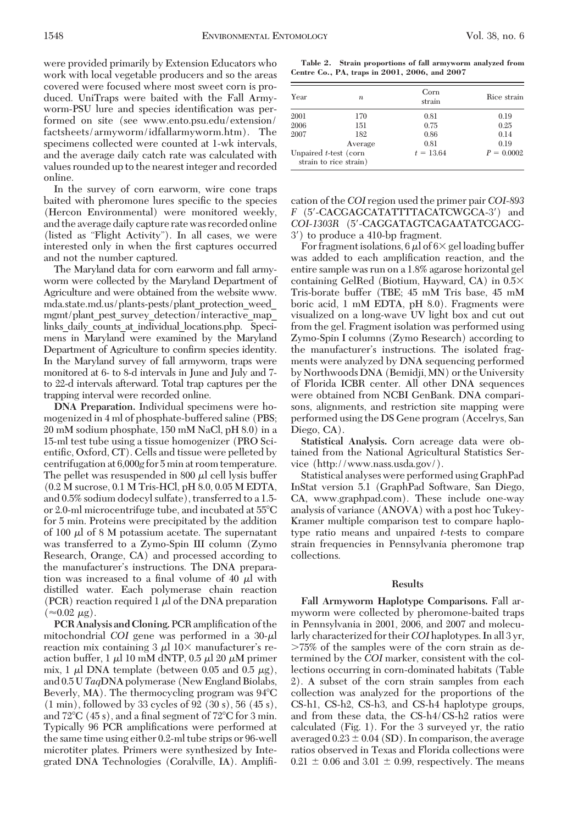were provided primarily by Extension Educators who work with local vegetable producers and so the areas covered were focused where most sweet corn is produced. UniTraps were baited with the Fall Armyworm-PSU lure and species identification was performed on site (see www.ento.psu.edu/extension/ factsheets/armyworm/idfallarmyworm.htm). The specimens collected were counted at 1-wk intervals, and the average daily catch rate was calculated with values rounded up to the nearest integer and recorded online.

In the survey of corn earworm, wire cone traps baited with pheromone lures specific to the species (Hercon Environmental) were monitored weekly, and the average daily capture rate was recorded online (listed as "Flight Activity"). In all cases, we were interested only in when the first captures occurred and not the number captured.

The Maryland data for corn earworm and fall armyworm were collected by the Maryland Department of Agriculture and were obtained from the website www. mda.state.md.us/plants-pests/plant\_protection\_weed\_ mgmt/plant\_pest\_survey\_detection/interactive\_map links daily counts at individual locations.php. Specimens in Maryland were examined by the Maryland Department of Agriculture to confirm species identity. In the Maryland survey of fall armyworm, traps were monitored at 6- to 8-d intervals in June and July and 7 to 22-d intervals afterward. Total trap captures per the trapping interval were recorded online.

**DNA Preparation.** Individual specimens were homogenized in 4 ml of phosphate-buffered saline (PBS; 20 mM sodium phosphate, 150 mM NaCl, pH 8.0) in a 15-ml test tube using a tissue homogenizer (PRO Scientific, Oxford, CT). Cells and tissue were pelleted by centrifugation at 6,000*g* for 5 min at room temperature. The pellet was resuspended in  $800 \mu l$  cell lysis buffer (0.2 M sucrose, 0.1 M Tris-HCl, pH 8.0, 0.05 M EDTA, and 0.5% sodium dodecyl sulfate), transferred to a 1.5 or 2.0-ml microcentrifuge tube, and incubated at 55C for 5 min. Proteins were precipitated by the addition of 100  $\mu$ l of 8 M potassium acetate. The supernatant was transferred to a Zymo-Spin III column (Zymo Research, Orange, CA) and processed according to the manufacturer's instructions. The DNA preparation was increased to a final volume of 40  $\mu$ l with distilled water. Each polymerase chain reaction (PCR) reaction required  $1 \mu l$  of the DNA preparation  $(\approx 0.02 \mu g)$ .

PCR Analysis and Cloning. PCR amplification of the mitochondrial *COI* gene was performed in a  $30-\mu$ l reaction mix containing  $3 \mu$  10 $\times$  manufacturer's reaction buffer, 1  $\mu$ l 10 mM dNTP, 0.5  $\mu$ l 20  $\mu$ M primer mix, 1  $\mu$ l DNA template (between 0.05 and 0.5  $\mu$ g), and 0.5 U *Taq*DNA polymerase (New England Biolabs, Beverly, MA). The thermocycling program was  $94^{\circ}$ C (1 min), followed by 33 cycles of 92 (30 s), 56 (45 s), and  $72^{\circ}$ C (45 s), and a final segment of  $72^{\circ}$ C for 3 min. Typically 96 PCR amplifications were performed at the same time using either 0.2-ml tube strips or 96-well microtiter plates. Primers were synthesized by Integrated DNA Technologies (Coralville, IA). AmpliÞ-

**Table 2. Strain proportions of fall armyworm analyzed from Centre Co., PA, traps in 2001, 2006, and 2007**

| Year<br>$\boldsymbol{n}$ |                                                 | Corn<br>strain | Rice strain  |  |
|--------------------------|-------------------------------------------------|----------------|--------------|--|
| 2001                     | 170                                             | 0.81           | 0.19         |  |
| 2006                     | 151                                             | 0.75           | 0.25         |  |
| 2007                     | 182                                             | 0.86           | 0.14         |  |
|                          | Average                                         | 0.81           | 0.19         |  |
|                          | Unpaired t-test (corn<br>strain to rice strain) | $t = 13.64$    | $P = 0.0002$ |  |

cation of the *COI* region used the primer pair *COI-893 F* (5-CACGAGCATATTTTACATCWGCA-3) and *COI-1303R* (5-CAGGATAGTCAGAATATCGACG-3) to produce a 410-bp fragment.

For fragment isolations, 6  $\mu$ l of 6  $\times$  gel loading buffer was added to each amplification reaction, and the entire sample was run on a 1.8% agarose horizontal gel containing GelRed (Biotium, Hayward, CA) in  $0.5\times$ Tris-borate buffer (TBE; 45 mM Tris base, 45 mM boric acid, 1 mM EDTA, pH 8.0). Fragments were visualized on a long-wave UV light box and cut out from the gel. Fragment isolation was performed using Zymo-Spin I columns (Zymo Research) according to the manufacturer's instructions. The isolated fragments were analyzed by DNA sequencing performed by Northwoods DNA (Bemidji,MN) or the University of Florida ICBR center. All other DNA sequences were obtained from NCBI GenBank. DNA comparisons, alignments, and restriction site mapping were performed using the DS Gene program (Accelrys, San Diego, CA).

**Statistical Analysis.** Corn acreage data were obtained from the National Agricultural Statistics Service (http://www.nass.usda.gov/).

Statistical analyses were performed using GraphPad InStat version 5.1 (GraphPad Software, San Diego, CA, www.graphpad.com). These include one-way analysis of variance (ANOVA) with a post hoc Tukey-Kramer multiple comparison test to compare haplotype ratio means and unpaired *t*-tests to compare strain frequencies in Pennsylvania pheromone trap collections.

#### **Results**

**Fall Armyworm Haplotype Comparisons.** Fall armyworm were collected by pheromone-baited traps in Pennsylvania in 2001, 2006, and 2007 and molecularly characterized for their*COI* haplotypes. In all 3 yr, 75% of the samples were of the corn strain as determined by the *COI* marker, consistent with the collections occurring in corn-dominated habitats (Table 2). A subset of the corn strain samples from each collection was analyzed for the proportions of the CS-h1, CS-h2, CS-h3, and CS-h4 haplotype groups, and from these data, the CS-h4/CS-h2 ratios were calculated (Fig. 1). For the 3 surveyed yr, the ratio averaged  $0.23 \pm 0.04$  (SD). In comparison, the average ratios observed in Texas and Florida collections were  $0.21 \pm 0.06$  and  $3.01 \pm 0.99$ , respectively. The means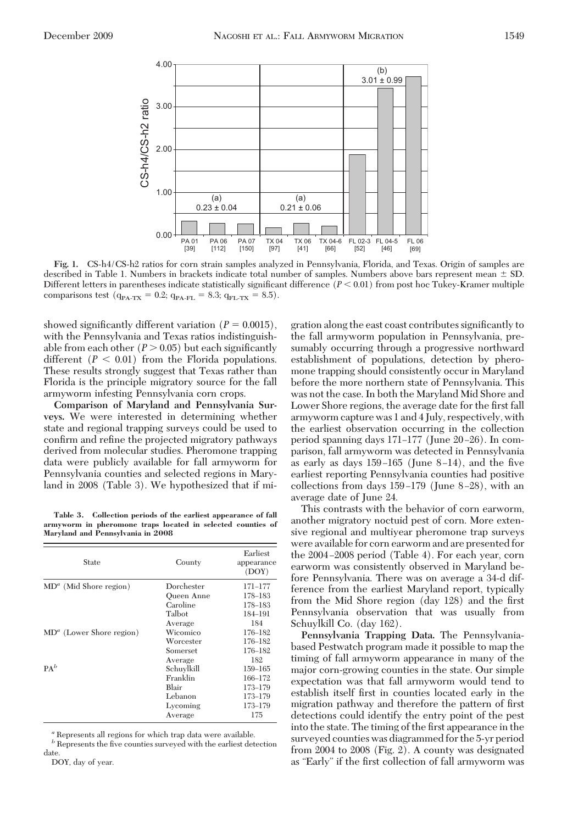

**Fig. 1.** CS-h4/CS-h2 ratios for corn strain samples analyzed in Pennsylvania, Florida, and Texas. Origin of samples are described in Table 1. Numbers in brackets indicate total number of samples. Numbers above bars represent mean  $\pm$  SD. Different letters in parentheses indicate statistically significant difference  $(P < 0.01)$  from post hoc Tukey-Kramer multiple comparisons test ( $q_{PA-TX} = 0.2$ ;  $q_{PA-FL} = 8.3$ ;  $q_{FL-TX} = 8.5$ ).

showed significantly different variation  $(P = 0.0015)$ , with the Pennsylvania and Texas ratios indistinguishable from each other  $(P > 0.05)$  but each significantly different  $(P < 0.01)$  from the Florida populations. These results strongly suggest that Texas rather than Florida is the principle migratory source for the fall armyworm infesting Pennsylvania corn crops.

**Comparison of Maryland and Pennsylvania Surveys.** We were interested in determining whether state and regional trapping surveys could be used to confirm and refine the projected migratory pathways derived from molecular studies. Pheromone trapping data were publicly available for fall armyworm for Pennsylvania counties and selected regions in Maryland in 2008 (Table 3). We hypothesized that if mi-

**Table 3. Collection periods of the earliest appearance of fall armyworm in pheromone traps located in selected counties of Maryland and Pennsylvania in 2008**

| State                      | County            | Earliest<br>appearance<br>(DOY) |  |
|----------------------------|-------------------|---------------------------------|--|
| $MDa$ (Mid Shore region)   | Dorchester        | 171-177                         |  |
|                            | <b>Oueen Anne</b> | 178-183                         |  |
|                            | Caroline          | 178-183                         |  |
|                            | Talbot            | 184-191                         |  |
|                            | Average           | 184                             |  |
| $MDa$ (Lower Shore region) | Wicomico          | 176-182                         |  |
|                            | Worcester         | 176-182                         |  |
|                            | Somerset          | 176-182                         |  |
|                            | Average           | 182                             |  |
| PA <sup>b</sup>            | Schuylkill        | $159 - 165$                     |  |
|                            | Franklin          | 166-172                         |  |
|                            | Blair             | 173-179                         |  |
|                            | Lebanon           | 173-179                         |  |
|                            | Lycoming          | 173-179                         |  |
|                            | Average           | 175                             |  |

*<sup>a</sup>* Represents all regions for which trap data were available.

 $\boldsymbol{b}$  Represents the five counties surveyed with the earliest detection date

DOY, day of year.

gration along the east coast contributes significantly to the fall armyworm population in Pennsylvania, presumably occurring through a progressive northward establishment of populations, detection by pheromone trapping should consistently occur in Maryland before the more northern state of Pennsylvania. This was not the case. In both the Maryland Mid Shore and Lower Shore regions, the average date for the first fall armyworm capture was 1 and 4 July, respectively, with the earliest observation occurring in the collection period spanning days  $171-177$  (June  $20-26$ ). In comparison, fall armyworm was detected in Pennsylvania as early as days  $159-165$  (June  $8-14$ ), and the five earliest reporting Pennsylvania counties had positive collections from days  $159-179$  (June 8-28), with an average date of June 24.

This contrasts with the behavior of corn earworm, another migratory noctuid pest of corn. More extensive regional and multiyear pheromone trap surveys were available for corn earworm and are presented for the  $2004 - 2008$  period (Table 4). For each year, corn earworm was consistently observed in Maryland before Pennsylvania. There was on average a 34-d difference from the earliest Maryland report, typically from the Mid Shore region (day 128) and the first Pennsylvania observation that was usually from Schuylkill Co. (day 162).

**Pennsylvania Trapping Data.** The Pennsylvaniabased Pestwatch program made it possible to map the timing of fall armyworm appearance in many of the major corn-growing counties in the state. Our simple expectation was that fall armyworm would tend to establish itself first in counties located early in the migration pathway and therefore the pattern of first detections could identify the entry point of the pest into the state. The timing of the first appearance in the surveyed counties was diagrammed for the 5-yr period from 2004 to 2008 (Fig. 2). A county was designated as "Early" if the first collection of fall armyworm was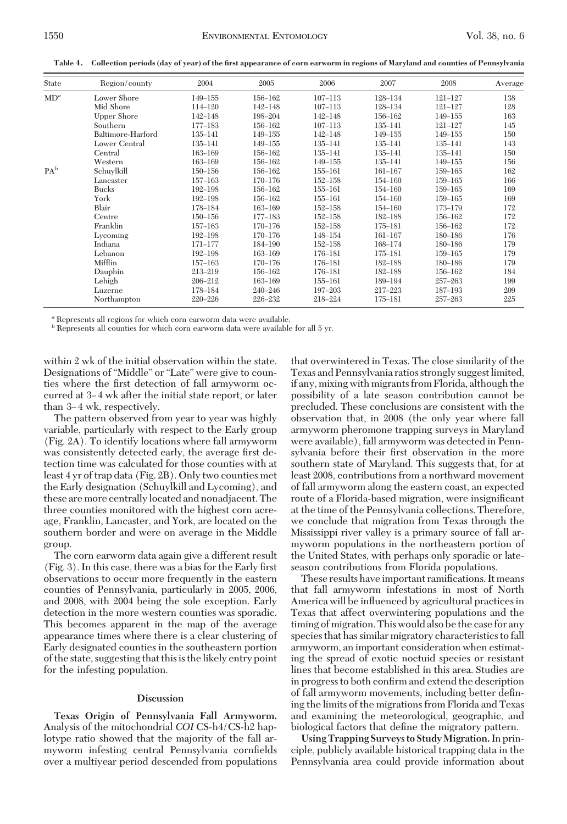**Table 4. Collection periods (day of year) of the first appearance of corn earworm in regions of Maryland and counties of Pennsylvania**

| State           | Region/county      | 2004        | 2005        | 2006        | 2007    | 2008        | Average |
|-----------------|--------------------|-------------|-------------|-------------|---------|-------------|---------|
| MD <sup>a</sup> | Lower Shore        | 149-155     | 156-162     | $107 - 113$ | 128-134 | $121 - 127$ | 138     |
|                 | Mid Shore          | 114-120     | 142-148     | $107 - 113$ | 128-134 | $121 - 127$ | 128     |
|                 | <b>Upper Shore</b> | $142 - 148$ | 198-204     | 142-148     | 156-162 | 149-155     | 163     |
|                 | Southern           | 177-183     | 156-162     | $107 - 113$ | 135-141 | $121 - 127$ | 145     |
|                 | Baltimore-Harford  | 135-141     | 149-155     | $142 - 148$ | 149-155 | 149-155     | 150     |
|                 | Lower Central      | 135-141     | 149-155     | 135-141     | 135-141 | 135-141     | 143     |
|                 | Central            | $163 - 169$ | 156-162     | 135-141     | 135-141 | 135-141     | 150     |
|                 | Western            | 163-169     | 156-162     | 149-155     | 135-141 | 149-155     | 156     |
| PA <sup>b</sup> | Schuylkill         | 150-156     | 156-162     | 155-161     | 161-167 | 159-165     | 162     |
|                 | Lancaster          | 157-163     | 170-176     | 152-158     | 154-160 | $159 - 165$ | 166     |
|                 | <b>Bucks</b>       | $192 - 198$ | 156-162     | 155-161     | 154-160 | $159 - 165$ | 169     |
|                 | York               | 192-198     | 156-162     | 155-161     | 154-160 | 159-165     | 169     |
|                 | Blair              | 178-184     | 163-169     | $152 - 158$ | 154-160 | 173-179     | 172     |
|                 | Centre             | $150 - 156$ | 177-183     | $152 - 158$ | 182-188 | 156-162     | 172     |
|                 | Franklin           | 157-163     | 170-176     | $152 - 158$ | 175-181 | 156-162     | 172     |
|                 | Lycoming           | 192-198     | 170-176     | 148-154     | 161-167 | 180-186     | 176     |
|                 | Indiana            | $171 - 177$ | 184-190     | $152 - 158$ | 168-174 | 180-186     | 179     |
|                 | Lebanon            | $192 - 198$ | 163-169     | 176-181     | 175–181 | 159-165     | 179     |
|                 | Mifflin            | 157-163     | 170-176     | 176-181     | 182-188 | 180-186     | 179     |
|                 | Dauphin            | 213-219     | 156-162     | 176-181     | 182-188 | 156-162     | 184     |
|                 | Lehigh             | 206-212     | $163 - 169$ | 155-161     | 189-194 | $257 - 263$ | 199     |
|                 | Luzerne            | 178-184     | $240 - 246$ | 197-203     | 217–223 | 187-193     | 209     |
|                 | Northampton        | $220 - 226$ | 226-232     | 218-224     | 175-181 | $257 - 263$ | 225     |

*<sup>a</sup>* Represents all regions for which corn earworm data were available.

*b* Represents all counties for which corn earworm data were available for all 5 yr.

within 2 wk of the initial observation within the state. Designations of "Middle" or "Late" were give to counties where the first detection of fall armyworm occurred at 3-4 wk after the initial state report, or later than 3–4 wk, respectively.

The pattern observed from year to year was highly variable, particularly with respect to the Early group (Fig. 2A). To identify locations where fall armyworm was consistently detected early, the average first detection time was calculated for those counties with at least 4 yr of trap data (Fig. 2B). Only two counties met the Early designation (Schuylkill and Lycoming), and these are more centrally located and nonadjacent. The three counties monitored with the highest corn acreage, Franklin, Lancaster, and York, are located on the southern border and were on average in the Middle group.

The corn earworm data again give a different result  $(Fig. 3)$ . In this case, there was a bias for the Early first observations to occur more frequently in the eastern counties of Pennsylvania, particularly in 2005, 2006, and 2008, with 2004 being the sole exception. Early detection in the more western counties was sporadic. This becomes apparent in the map of the average appearance times where there is a clear clustering of Early designated counties in the southeastern portion of the state, suggesting that this is the likely entry point for the infesting population.

#### **Discussion**

**Texas Origin of Pennsylvania Fall Armyworm.** Analysis of the mitochondrial *COI* CS-h4/CS-h2 haplotype ratio showed that the majority of the fall armyworm infesting central Pennsylvania cornfields over a multiyear period descended from populations that overwintered in Texas. The close similarity of the Texas and Pennsylvania ratios strongly suggestlimited, if any, mixing with migrants from Florida, although the possibility of a late season contribution cannot be precluded. These conclusions are consistent with the observation that, in 2008 (the only year where fall armyworm pheromone trapping surveys in Maryland were available), fall armyworm was detected in Pennsylvania before their first observation in the more southern state of Maryland. This suggests that, for at least 2008, contributions from a northward movement of fall armyworm along the eastern coast, an expected route of a Florida-based migration, were insignificant at the time of the Pennsylvania collections. Therefore, we conclude that migration from Texas through the Mississippi river valley is a primary source of fall armyworm populations in the northeastern portion of the United States, with perhaps only sporadic or lateseason contributions from Florida populations.

These results have important ramifications. It means that fall armyworm infestations in most of North America will be inßuenced by agricultural practices in Texas that affect overwintering populations and the timing of migration. This would also be the case for any species that has similar migratory characteristics to fall armyworm, an important consideration when estimating the spread of exotic noctuid species or resistant lines that become established in this area. Studies are in progress to both confirm and extend the description of fall armyworm movements, including better defining the limits of the migrations from Florida and Texas and examining the meteorological, geographic, and biological factors that define the migratory pattern.

**Using Trapping Surveys to StudyMigration.**In principle, publicly available historical trapping data in the Pennsylvania area could provide information about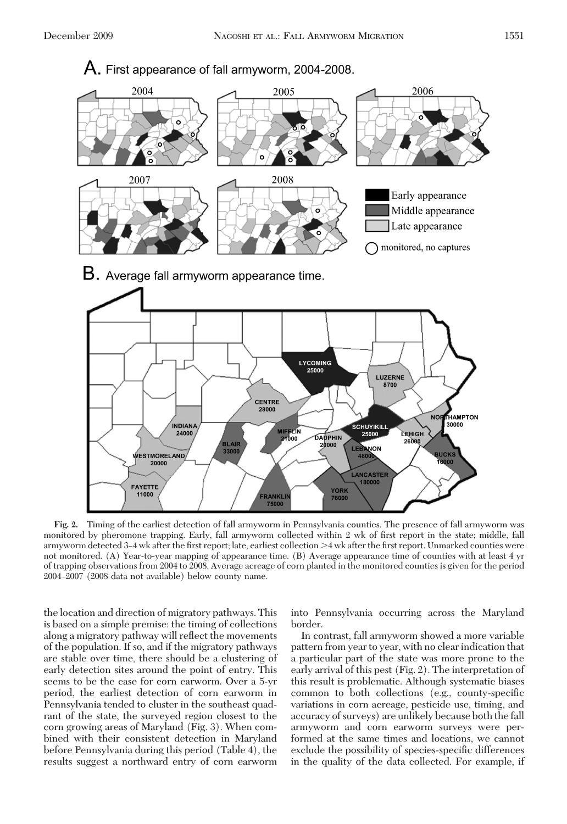

**Fig. 2.** Timing of the earliest detection of fall armyworm in Pennsylvania counties. The presence of fall armyworm was monitored by pheromone trapping. Early, fall armyworm collected within 2 wk of first report in the state; middle, fall armyworm detected 3–4 wk after the first report; late, earliest collection >4 wk after the first report. Unmarked counties were not monitored. (A) Year-to-year mapping of appearance time. (B) Average appearance time of counties with at least 4 yr of trapping observations from 2004 to 2008. Average acreage of corn planted in the monitored counties is given for the period 2004–2007 (2008 data not available) below county name.

the location and direction of migratory pathways. This is based on a simple premise: the timing of collections along a migratory pathway will reßect the movements of the population. If so, and if the migratory pathways are stable over time, there should be a clustering of early detection sites around the point of entry. This seems to be the case for corn earworm. Over a 5-yr period, the earliest detection of corn earworm in Pennsylvania tended to cluster in the southeast quadrant of the state, the surveyed region closest to the corn growing areas of Maryland (Fig. 3). When combined with their consistent detection in Maryland before Pennsylvania during this period (Table 4), the results suggest a northward entry of corn earworm

into Pennsylvania occurring across the Maryland border.

In contrast, fall armyworm showed a more variable pattern from year to year, with no clear indication that a particular part of the state was more prone to the early arrival of this pest (Fig. 2). The interpretation of this result is problematic. Although systematic biases common to both collections (e.g., county-specific variations in corn acreage, pesticide use, timing, and accuracy of surveys) are unlikely because both the fall armyworm and corn earworm surveys were performed at the same times and locations, we cannot exclude the possibility of species-specific differences in the quality of the data collected. For example, if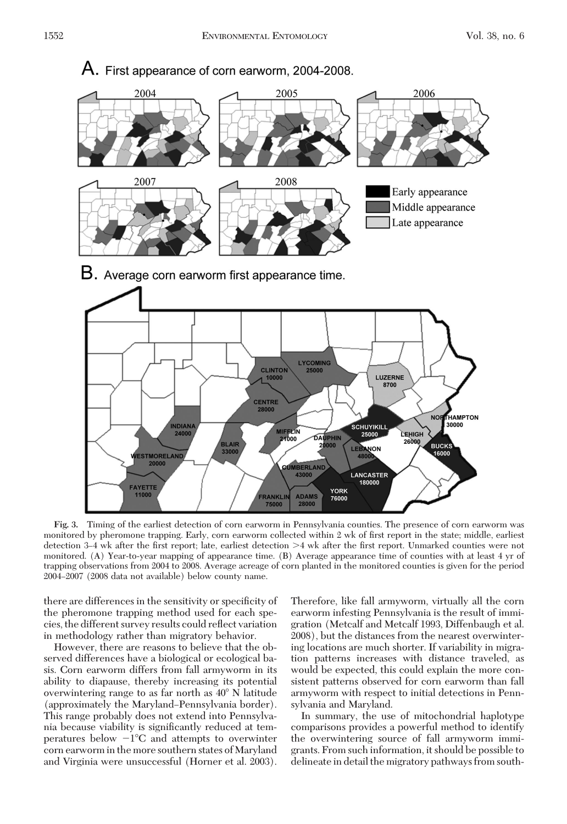

**Fig. 3.** Timing of the earliest detection of corn earworm in Pennsylvania counties. The presence of corn earworm was monitored by pheromone trapping. Early, corn earworm collected within 2 wk of first report in the state; middle, earliest detection 3–4 wk after the first report; late, earliest detection >4 wk after the first report. Unmarked counties were not monitored. (A) Year-to-year mapping of appearance time. (B) Average appearance time of counties with at least 4 yr of trapping observations from 2004 to 2008. Average acreage of corn planted in the monitored counties is given for the period 2004–2007 (2008 data not available) below county name.

there are differences in the sensitivity or specificity of the pheromone trapping method used for each species, the different survey results could reßect variation in methodology rather than migratory behavior.

However, there are reasons to believe that the observed differences have a biological or ecological basis. Corn earworm differs from fall armyworm in its ability to diapause, thereby increasing its potential overwintering range to as far north as 40°N latitude (approximately the Maryland–Pennsylvania border). This range probably does not extend into Pennsylvania because viability is significantly reduced at temperatures below  $-1^{\circ}C$  and attempts to overwinter corn earworm in the more southern states of Maryland and Virginia were unsuccessful (Horner et al. 2003).

Therefore, like fall armyworm, virtually all the corn earworm infesting Pennsylvania is the result of immigration (Metcalf and Metcalf 1993, Diffenbaugh et al. 2008), but the distances from the nearest overwintering locations are much shorter. If variability in migration patterns increases with distance traveled, as would be expected, this could explain the more consistent patterns observed for corn earworm than fall armyworm with respect to initial detections in Pennsylvania and Maryland.

In summary, the use of mitochondrial haplotype comparisons provides a powerful method to identify the overwintering source of fall armyworm immigrants. From such information, it should be possible to delineate in detail the migratory pathways from south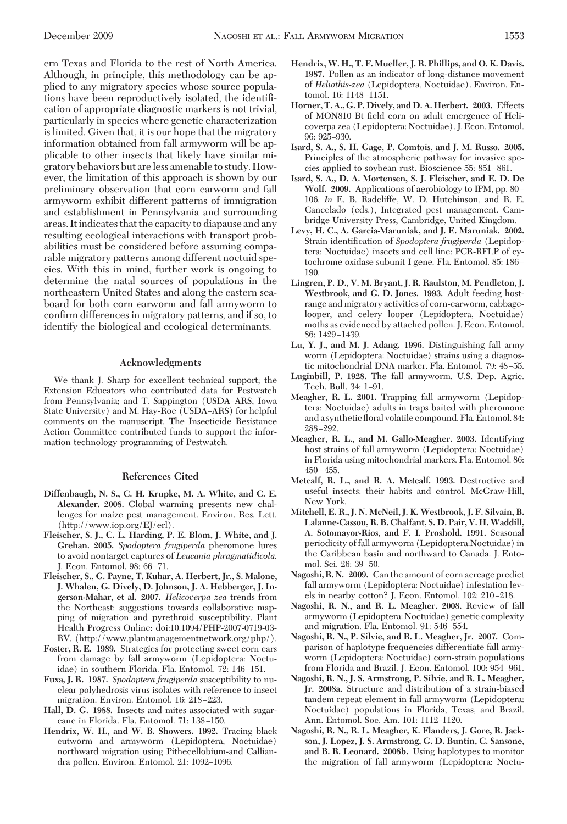ern Texas and Florida to the rest of North America. Although, in principle, this methodology can be applied to any migratory species whose source populations have been reproductively isolated, the identiÞcation of appropriate diagnostic markers is not trivial, particularly in species where genetic characterization is limited. Given that, it is our hope that the migratory information obtained from fall armyworm will be applicable to other insects that likely have similar migratory behaviors but areless amenable to study. However, the limitation of this approach is shown by our preliminary observation that corn earworm and fall armyworm exhibit different patterns of immigration and establishment in Pennsylvania and surrounding areas. Itindicates that the capacity to diapause and any resulting ecological interactions with transport probabilities must be considered before assuming comparable migratory patterns among different noctuid species. With this in mind, further work is ongoing to determine the natal sources of populations in the northeastern United States and along the eastern seaboard for both corn earworm and fall armyworm to confirm differences in migratory patterns, and if so, to identify the biological and ecological determinants.

## **Acknowledgments**

We thank J. Sharp for excellent technical support; the Extension Educators who contributed data for Pestwatch from Pennsylvania; and T. Sappington (USDA-ARS, Iowa State University) and M. Hay-Roe (USDA-ARS) for helpful comments on the manuscript. The Insecticide Resistance Action Committee contributed funds to support the information technology programming of Pestwatch.

## **References Cited**

- **Diffenbaugh, N. S., C. H. Krupke, M. A. White, and C. E. Alexander. 2008.** Global warming presents new challenges for maize pest management. Environ. Res. Lett. (http://www.iop.org/EJ/erl).
- **Fleischer, S. J., C. L. Harding, P. E. Blom, J. White, and J. Grehan. 2005.** *Spodoptera frugiperda* pheromone lures to avoid nontarget captures of *Leucania phragmatidicola.* J. Econ. Entomol. 98: 66-71.
- **Fleischer, S., G. Payne, T. Kuhar, A. Herbert, Jr., S. Malone, J. Whalen, G. Dively, D. Johnson, J. A. Hebberger, J. Ingerson-Mahar, et al. 2007.** *Helicoverpa zea* trends from the Northeast: suggestions towards collaborative mapping of migration and pyrethroid susceptibility. Plant Health Progress Online: doi:10.1094/PHP-2007-0719-03- RV. (http://www.plantmanagementnetwork.org/php/).
- **Foster, R. E. 1989.** Strategies for protecting sweet corn ears from damage by fall armyworm (Lepidoptera: Noctuidae) in southern Florida. Fla. Entomol. 72: 146–151.
- **Fuxa, J. R. 1987.** *Spodoptera frugiperda* susceptibility to nuclear polyhedrosis virus isolates with reference to insect migration. Environ. Entomol. 16: 218-223.
- **Hall, D. G. 1988.** Insects and mites associated with sugarcane in Florida. Fla. Entomol. 71: 138-150.
- **Hendrix, W. H., and W. B. Showers. 1992.** Tracing black cutworm and armyworm (Lepidoptera, Noctuidae) northward migration using Pithecellobium-and Calliandra pollen. Environ. Entomol. 21: 1092-1096.
- **Hendrix, W. H., T. F. Mueller, J. R. Phillips, and O. K. Davis. 1987.** Pollen as an indicator of long-distance movement of *Heliothis-zea* (Lepidoptera, Noctuidae). Environ. Entomol. 16: 1148-1151.
- **Horner, T. A., G. P. Dively, and D. A. Herbert. 2003.** Effects of MON810 Bt field corn on adult emergence of Helicoverpa zea (Lepidoptera: Noctuidae). J. Econ. Entomol. 96: 925-930.
- **Isard, S. A., S. H. Gage, P. Comtois, and J. M. Russo. 2005.** Principles of the atmospheric pathway for invasive species applied to soybean rust. Bioscience 55: 851–861.
- **Isard, S. A., D. A. Mortensen, S. J. Fleischer, and E. D. De Wolf. 2009.** Applications of aerobiology to IPM, pp. 80– 106. *In* E. B. Radcliffe, W. D. Hutchinson, and R. E. Cancelado (eds.), Integrated pest management. Cambridge University Press, Cambridge, United Kingdom.
- **Levy, H. C., A. Garcia-Maruniak, and J. E. Maruniak. 2002.** Strain identification of *Spodoptera frugiperda* (Lepidoptera: Noctuidae) insects and cell line: PCR-RFLP of cytochrome oxidase subunit I gene. Fla. Entomol. 85: 186-190.
- **Lingren, P. D., V. M. Bryant, J. R. Raulston, M. Pendleton, J. Westbrook, and G. D. Jones. 1993.** Adult feeding hostrange and migratory activities of corn-earworm, cabbagelooper, and celery looper (Lepidoptera, Noctuidae) moths as evidenced by attached pollen. J. Econ. Entomol. 86: 1429-1439.
- **Lu, Y. J., and M. J. Adang. 1996.** Distinguishing fall army worm (Lepidoptera: Noctuidae) strains using a diagnostic mitochondrial DNA marker. Fla. Entomol. 79: 48-55.
- **Luginbill, P. 1928.** The fall armyworm. U.S. Dep. Agric. Tech. Bull. 34: 1-91.
- **Meagher, R. L. 2001.** Trapping fall armyworm (Lepidoptera: Noctuidae) adults in traps baited with pheromone and a synthetic ßoral volatile compound. Fla. Entomol. 84: 288Ð292.
- **Meagher, R. L., and M. Gallo-Meagher. 2003.** Identifying host strains of fall armyworm (Lepidoptera: Noctuidae) in Florida using mitochondrial markers. Fla. Entomol. 86:  $450 - 455$ .
- **Metcalf, R. L., and R. A. Metcalf. 1993.** Destructive and useful insects: their habits and control. McGraw-Hill, New York.
- **Mitchell, E. R., J. N. McNeil, J. K. Westbrook, J. F. Silvain, B. Lalanne-Cassou, R. B. Chalfant, S. D. Pair, V. H. Waddill, A. Sotomayor-Rios, and F. I. Proshold. 1991.** Seasonal periodicity of fall armyworm (Lepidoptera:Noctuidae) in the Caribbean basin and northward to Canada. J. Entomol. Sci. 26: 39-50.
- **Nagoshi, R. N. 2009.** Can the amount of corn acreage predict fall armyworm (Lepidoptera: Noctuidae) infestation levels in nearby cotton? J. Econ. Entomol. 102: 210-218.
- **Nagoshi, R. N., and R. L. Meagher. 2008.** Review of fall armyworm (Lepidoptera: Noctuidae) genetic complexity and migration. Fla. Entomol. 91: 546-554.
- **Nagoshi, R. N., P. Silvie, and R. L. Meagher, Jr. 2007.** Comparison of haplotype frequencies differentiate fall armyworm (Lepidoptera: Noctuidae) corn-strain populations from Florida and Brazil. J. Econ. Entomol. 100: 954-961.
- **Nagoshi, R. N., J. S. Armstrong, P. Silvie, and R. L. Meagher, Jr. 2008a.** Structure and distribution of a strain-biased tandem repeat element in fall armyworm (Lepidoptera: Noctuidae) populations in Florida, Texas, and Brazil. Ann. Entomol. Soc. Am. 101: 1112-1120.
- **Nagoshi, R. N., R. L. Meagher, K. Flanders, J. Gore, R. Jackson, J. Lopez, J. S. Armstrong, G. D. Buntin, C. Sansone, and B. R. Leonard. 2008b.** Using haplotypes to monitor the migration of fall armyworm (Lepidoptera: Noctu-